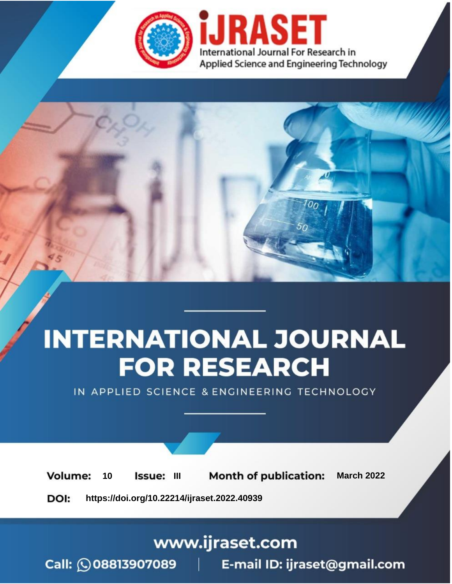

# **INTERNATIONAL JOURNAL FOR RESEARCH**

IN APPLIED SCIENCE & ENGINEERING TECHNOLOGY

10 **Issue: III Month of publication:** March 2022 **Volume:** 

**https://doi.org/10.22214/ijraset.2022.40939**DOI:

www.ijraset.com

Call: 008813907089 | E-mail ID: ijraset@gmail.com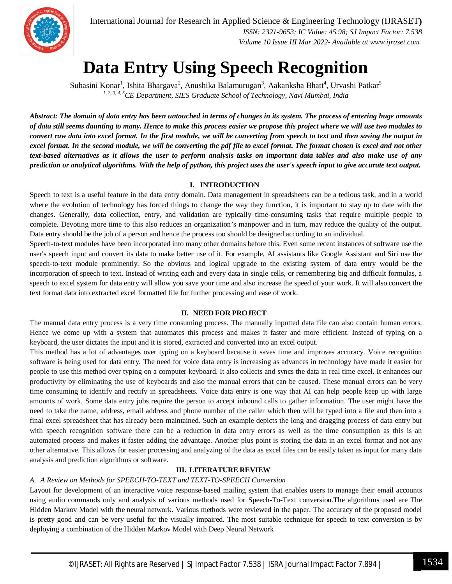

International Journal for Research in Applied Science & Engineering Technology (IJRASET**)**  *ISSN: 2321-9653; IC Value: 45.98; SJ Impact Factor: 7.538 Volume 10 Issue III Mar 2022- Available at www.ijraset.com*

### **Data Entry Using Speech Recognition**

Suhasini Konar<sup>1</sup>, Ishita Bhargava<sup>2</sup>, Anushika Balamurugan<sup>3</sup>, Aakanksha Bhatt<sup>4</sup>, Urvashi Patkar<sup>5</sup> *1, 2, 3, 4, 5CE Department, SIES Graduate School of Technology, Navi Mumbai, India*

*Abstract: The domain of data entry has been untouched in terms of changes in its system. The process of entering huge amounts of data still seems daunting to many. Hence to make this process easier we propose this project where we will use two modules to convert raw data into excel format. In the first module, we will be converting from speech to text and then saving the output in excel format. In the second module, we will be converting the pdf file to excel format. The format chosen is excel and not other text-based alternatives as it allows the user to perform analysis tasks on important data tables and also make use of any prediction or analytical algorithms. With the help of python, this project uses the user's speech input to give accurate text output.*

#### **I. INTRODUCTION**

Speech to text is a useful feature in the data entry domain. Data management in spreadsheets can be a tedious task, and in a world where the evolution of technology has forced things to change the way they function, it is important to stay up to date with the changes. Generally, data collection, entry, and validation are typically time-consuming tasks that require multiple people to complete. Devoting more time to this also reduces an organization's manpower and in turn, may reduce the quality of the output. Data entry should be the job of a person and hence the process too should be designed according to an individual.

Speech-to-text modules have been incorporated into many other domains before this. Even some recent instances of software use the user's speech input and convert its data to make better use of it. For example, AI assistants like Google Assistant and Siri use the speech-to-text module prominently. So the obvious and logical upgrade to the existing system of data entry would be the incorporation of speech to text. Instead of writing each and every data in single cells, or remembering big and difficult formulas, a speech to excel system for data entry will allow you save your time and also increase the speed of your work. It will also convert the text format data into extracted excel formatted file for further processing and ease of work.

#### **II. NEED FOR PROJECT**

The manual data entry process is a very time consuming process. The manually inputted data file can also contain human errors. Hence we come up with a system that automates this process and makes it faster and more efficient. Instead of typing on a keyboard, the user dictates the input and it is stored, extracted and converted into an excel output.

This method has a lot of advantages over typing on a keyboard because it saves time and improves accuracy. Voice recognition software is being used for data entry. The need for voice data entry is increasing as advances in technology have made it easier for people to use this method over typing on a computer keyboard. It also collects and syncs the data in real time excel. It enhances our productivity by eliminating the use of keyboards and also the manual errors that can be caused. These manual errors can be very time consuming to identify and rectify in spreadsheets. Voice data entry is one way that AI can help people keep up with large amounts of work. Some data entry jobs require the person to accept inbound calls to gather information. The user might have the need to take the name, address, email address and phone number of the caller which then will be typed into a file and then into a final excel spreadsheet that has already been maintained. Such an example depicts the long and dragging process of data entry but with speech recognition software there can be a reduction in data entry errors as well as the time consumption as this is an automated process and makes it faster adding the advantage. Another plus point is storing the data in an excel format and not any other alternative. This allows for easier processing and analyzing of the data as excel files can be easily taken as input for many data analysis and prediction algorithms or software.

#### **III. LITERATURE REVIEW**

#### *A. A Review on Methods for SPEECH-TO-TEXT and TEXT-TO-SPEECH Conversion*

Layout for development of an interactive voice response-based mailing system that enables users to manage their email accounts using audio commands only and analysis of various methods used for Speech-To-Text conversion.The algorithms used are The Hidden Markov Model with the neural network. Various methods were reviewed in the paper. The accuracy of the proposed model is pretty good and can be very useful for the visually impaired. The most suitable technique for speech to text conversion is by deploying a combination of the Hidden Markov Model with Deep Neural Network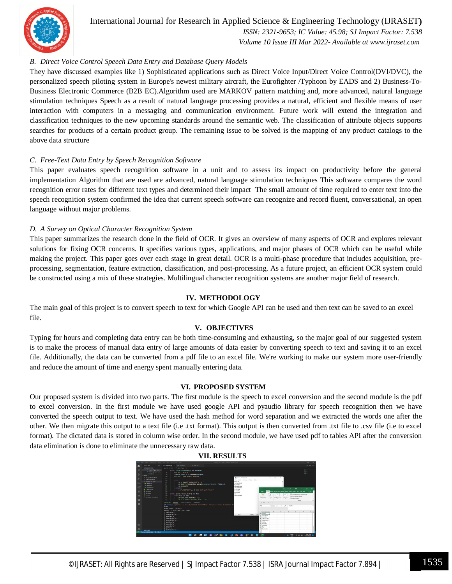

#### International Journal for Research in Applied Science & Engineering Technology (IJRASET**)**  *ISSN: 2321-9653; IC Value: 45.98; SJ Impact Factor: 7.538 Volume 10 Issue III Mar 2022- Available at www.ijraset.com*

#### *B. Direct Voice Control Speech Data Entry and Database Query Models*

They have discussed examples like 1) Sophisticated applications such as Direct Voice Input/Direct Voice Control(DVI/DVC), the personalized speech piloting system in Europe's newest military aircraft, the Eurofighter /Typhoon by EADS and 2) Business-To-Business Electronic Commerce (B2B EC).Algorithm used are MARKOV pattern matching and, more advanced, natural language stimulation techniques Speech as a result of natural language processing provides a natural, efficient and flexible means of user interaction with computers in a messaging and communication environment. Future work will extend the integration and classification techniques to the new upcoming standards around the semantic web. The classification of attribute objects supports searches for products of a certain product group. The remaining issue to be solved is the mapping of any product catalogs to the above data structure

#### *C. Free-Text Data Entry by Speech Recognition Software*

This paper evaluates speech recognition software in a unit and to assess its impact on productivity before the general implementation Algorithm that are used are advanced, natural language stimulation techniques This software compares the word recognition error rates for different text types and determined their impact The small amount of time required to enter text into the speech recognition system confirmed the idea that current speech software can recognize and record fluent, conversational, an open language without major problems.

#### *D. A Survey on Optical Character Recognition System*

This paper summarizes the research done in the field of OCR. It gives an overview of many aspects of OCR and explores relevant solutions for fixing OCR concerns. It specifies various types, applications, and major phases of OCR which can be useful while making the project. This paper goes over each stage in great detail. OCR is a multi-phase procedure that includes acquisition, preprocessing, segmentation, feature extraction, classification, and post-processing. As a future project, an efficient OCR system could be constructed using a mix of these strategies. Multilingual character recognition systems are another major field of research.

#### **IV. METHODOLOGY**

The main goal of this project is to convert speech to text for which Google API can be used and then text can be saved to an excel file.

#### **V. OBJECTIVES**

Typing for hours and completing data entry can be both time-consuming and exhausting, so the major goal of our suggested system is to make the process of manual data entry of large amounts of data easier by converting speech to text and saving it to an excel file. Additionally, the data can be converted from a pdf file to an excel file. We're working to make our system more user-friendly and reduce the amount of time and energy spent manually entering data.

#### **VI. PROPOSED SYSTEM**

Our proposed system is divided into two parts. The first module is the speech to excel conversion and the second module is the pdf to excel conversion. In the first module we have used google API and pyaudio library for speech recognition then we have converted the speech output to text. We have used the hash method for word separation and we extracted the words one after the other. We then migrate this output to a text file (i.e .txt format). This output is then converted from .txt file to .csv file (i.e to excel format). The dictated data is stored in column wise order. In the second module, we have used pdf to tables API after the conversion data elimination is done to eliminate the unnecessary raw data.



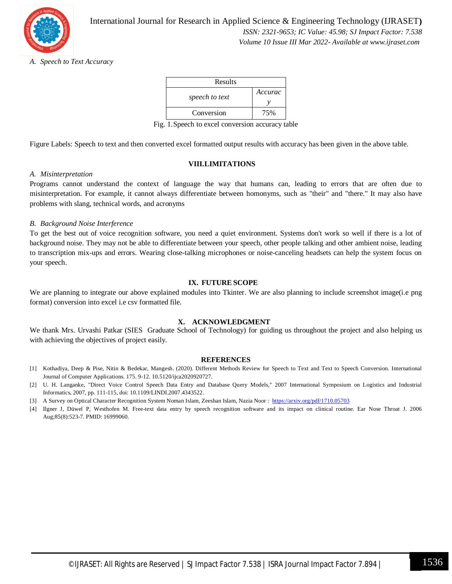

#### *A. Speech to Text Accuracy*

| Results        |         |
|----------------|---------|
| speech to text | Accurac |
| Conversion     | 75%     |

Fig. 1.Speech to excel conversion accuracy table

Figure Labels: Speech to text and then converted excel formatted output results with accuracy has been given in the above table.

#### **VIII.LIMITATIONS**

#### *A. Misinterpretation*

Programs cannot understand the context of language the way that humans can, leading to errors that are often due to misinterpretation. For example, it cannot always differentiate between homonyms, such as "their" and "there." It may also have problems with slang, technical words, and acronyms

#### *B. Background Noise Interference*

To get the best out of voice recognition software, you need a quiet environment. Systems don't work so well if there is a lot of background noise. They may not be able to differentiate between your speech, other people talking and other ambient noise, leading to transcription mix-ups and errors. Wearing close-talking microphones or noise-canceling headsets can help the system focus on your speech.

#### **IX. FUTURE SCOPE**

We are planning to integrate our above explained modules into Tkinter. We are also planning to include screenshot image(i.e png format) conversion into excel i.e csv formatted file.

#### **X. ACKNOWLEDGMENT**

We thank Mrs. Urvashi Patkar (SIES Graduate School of Technology) for guiding us throughout the project and also helping us with achieving the objectives of project easily.

#### **REFERENCES**

- [1] Kothadiya, Deep & Pise, Nitin & Bedekar, Mangesh. (2020). Different Methods Review for Speech to Text and Text to Speech Conversion. International Journal of Computer Applications. 175. 9-12. 10.5120/ijca2020920727.
- [2] U. H. Langanke, "Direct Voice Control Speech Data Entry and Database Query Models," 2007 International Symposium on Logistics and Industrial Informatics, 2007, pp. 111-115, doi: 10.1109/LINDI.2007.4343522.
- [3] A Survey on Optical Character Recognition System Noman Islam, Zeeshan Islam, Nazia Noor : https://arxiv.org/pdf/1710.05703
- [4] Ilgner J, Düwel P, Westhofen M. Free-text data entry by speech recognition software and its impact on clinical routine. Ear Nose Throat J. 2006 Aug;85(8):523-7. PMID: 16999060.